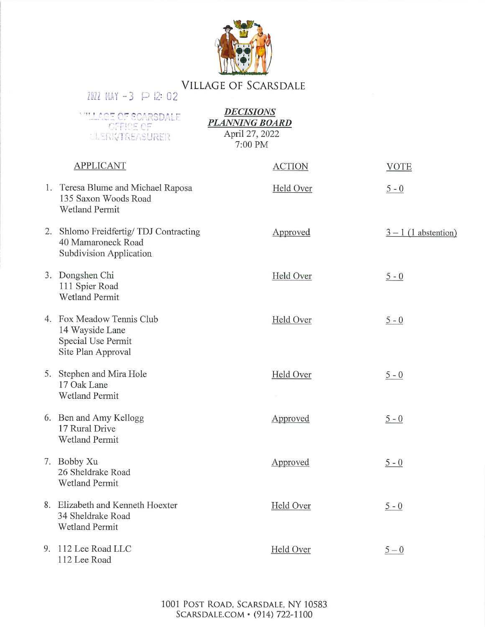

## **VILLAGE OF SCARSDALE** 2022 MAY -3  $\wp$  12:02

**DECISIONS WILLAGE OF SCARSDALE PLANNING BOARD OFFICE OF** April 27, 2022 **ULERK/TREASURER** 7:00 PM **APPLICANT ACTION VOTE** 1. Teresa Blume and Michael Raposa Held Over  $5 - 0$ 135 Saxon Woods Road **Wetland Permit** 2. Shlomo Freidfertig/TDJ Contracting Approved  $3 - 1$  (1 abstention) 40 Mamaroneck Road **Subdivision Application** 3. Dongshen Chi Held Over  $5 - 0$ 111 Spier Road Wetland Permit 4. Fox Meadow Tennis Club Held Over  $5 - 0$ 14 Wayside Lane Special Use Permit Site Plan Approval 5. Stephen and Mira Hole Held Over  $5 - 0$ 17 Oak Lane **Wetland Permit** 6. Ben and Amy Kellogg Approved  $5 - 0$ 17 Rural Drive **Wetland Permit** 7. Bobby Xu Approved  $5 - 0$ 26 Sheldrake Road **Wetland Permit** 8. Elizabeth and Kenneth Hoexter Held Over  $5 - 0$ 34 Sheldrake Road **Wetland Permit** 9. 112 Lee Road LLC Held Over  $5-0$ 112 Lee Road

> 1001 POST ROAD, SCARSDALE, NY 10583 SCARSDALE.COM • (914) 722-1100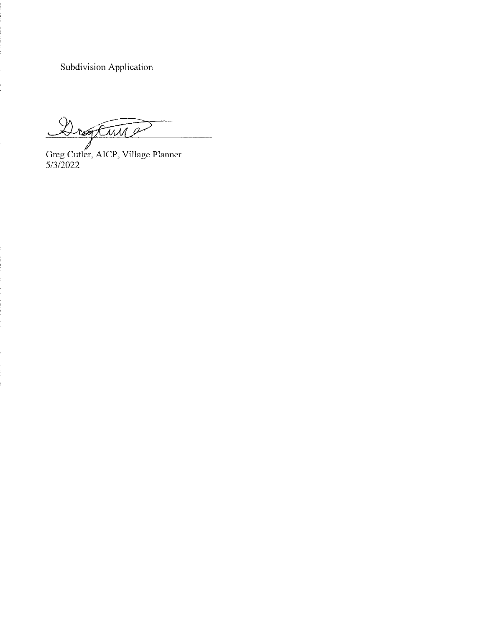Subdivision Application

Drogtwine  $\ddot{\phantom{0}}$ 

Greg Cutler, AICP, Village Planner<br>5/3/2022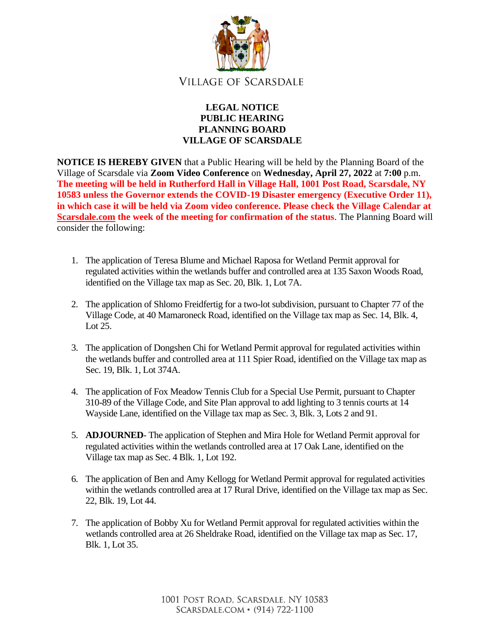

## **LEGAL NOTICE PUBLIC HEARING PLANNING BOARD VILLAGE OF SCARSDALE**

**NOTICE IS HEREBY GIVEN** that a Public Hearing will be held by the Planning Board of the Village of Scarsdale via **Zoom Video Conference** on **Wednesday, April 27, 2022** at **7:00** p.m. **The meeting will be held in Rutherford Hall in Village Hall, 1001 Post Road, Scarsdale, NY 10583 unless the Governor extends the COVID-19 Disaster emergency (Executive Order 11), in which case it will be held via Zoom video conference. Please check the Village Calendar at [Scarsdale.com](http://scarsdale.com/) the week of the meeting for confirmation of the status**. The Planning Board will consider the following:

- 1. The application of Teresa Blume and Michael Raposa for Wetland Permit approval for regulated activities within the wetlands buffer and controlled area at 135 Saxon Woods Road, identified on the Village tax map as Sec. 20, Blk. 1, Lot 7A.
- 2. The application of Shlomo Freidfertig for a two-lot subdivision, pursuant to Chapter 77 of the Village Code, at 40 Mamaroneck Road, identified on the Village tax map as Sec. 14, Blk. 4, Lot 25.
- 3. The application of Dongshen Chi for Wetland Permit approval for regulated activities within the wetlands buffer and controlled area at 111 Spier Road, identified on the Village tax map as Sec. 19, Blk. 1, Lot 374A.
- 4. The application of Fox Meadow Tennis Club for a Special Use Permit, pursuant to Chapter 310-89 of the Village Code, and Site Plan approval to add lighting to 3 tennis courts at 14 Wayside Lane, identified on the Village tax map as Sec. 3, Blk. 3, Lots 2 and 91.
- 5. **ADJOURNED** The application of Stephen and Mira Hole for Wetland Permit approval for regulated activities within the wetlands controlled area at 17 Oak Lane, identified on the Village tax map as Sec. 4 Blk. 1, Lot 192.
- 6. The application of Ben and Amy Kellogg for Wetland Permit approval for regulated activities within the wetlands controlled area at 17 Rural Drive, identified on the Village tax map as Sec. 22, Blk. 19, Lot 44.
- 7. The application of Bobby Xu for Wetland Permit approval for regulated activities within the wetlands controlled area at 26 Sheldrake Road, identified on the Village tax map as Sec. 17, Blk. 1, Lot 35.